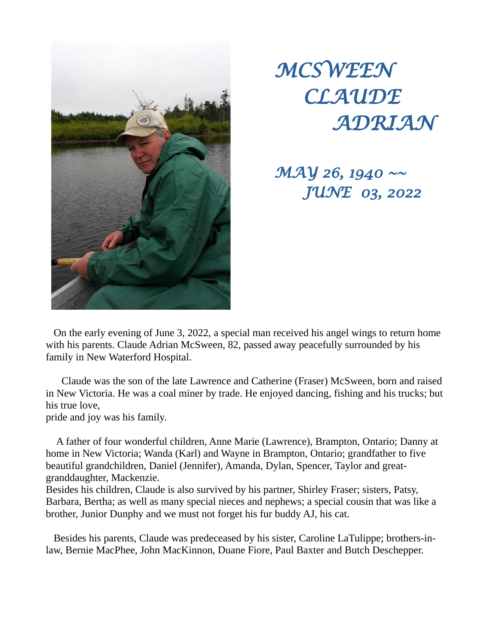



*MAY 26, 1940 ~~ JUNE 03, 2022*

 On the early evening of June 3, 2022, a special man received his angel wings to return home with his parents. Claude Adrian McSween, 82, passed away peacefully surrounded by his family in New Waterford Hospital.

 Claude was the son of the late Lawrence and Catherine (Fraser) McSween, born and raised in New Victoria. He was a coal miner by trade. He enjoyed dancing, fishing and his trucks; but his true love,

pride and joy was his family.

 A father of four wonderful children, Anne Marie (Lawrence), Brampton, Ontario; Danny at home in New Victoria; Wanda (Karl) and Wayne in Brampton, Ontario; grandfather to five beautiful grandchildren, Daniel (Jennifer), Amanda, Dylan, Spencer, Taylor and greatgranddaughter, Mackenzie.

Besides his children, Claude is also survived by his partner, Shirley Fraser; sisters, Patsy, Barbara, Bertha; as well as many special nieces and nephews; a special cousin that was like a brother, Junior Dunphy and we must not forget his fur buddy AJ, his cat.

 Besides his parents, Claude was predeceased by his sister, Caroline LaTulippe; brothers-inlaw, Bernie MacPhee, John MacKinnon, Duane Fiore, Paul Baxter and Butch Deschepper.